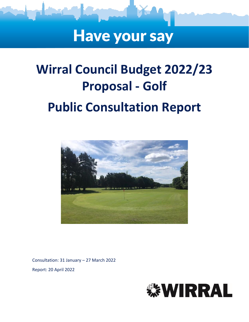# **Have your say**

# **Wirral Council Budget 2022/23 Proposal - Golf Public Consultation Report**



Consultation: 31 January – 27 March 2022 Report: 20 April 2022

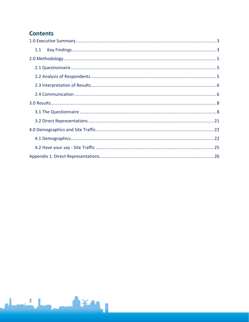### **Contents**

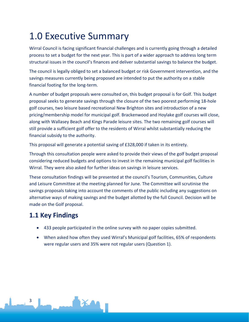# <span id="page-2-0"></span>1.0 Executive Summary

Wirral Council is facing significant financial challenges and is currently going through a detailed process to set a budget for the next year. This is part of a wider approach to address long term structural issues in the council's finances and deliver substantial savings to balance the budget.

The council is legally obliged to set a balanced budget or risk Government intervention, and the savings measures currently being proposed are intended to put the authority on a stable financial footing for the long-term.

A number of budget proposals were consulted on, this budget proposal is for Golf. This budget proposal seeks to generate savings through the closure of the two poorest performing 18-hole golf courses, two leisure based recreational New Brighton sites and introduction of a new pricing/membership model for municipal golf. Brackenwood and Hoylake golf courses will close, along with Wallasey Beach and Kings Parade leisure sites. The two remaining golf courses will still provide a sufficient golf offer to the residents of Wirral whilst substantially reducing the financial subsidy to the authority.

This proposal will generate a potential saving of £328,000 if taken in its entirety.

Through this consultation people were asked to provide their views of the golf budget proposal considering reduced budgets and options to invest in the remaining municipal golf facilities in Wirral. They were also asked for further ideas on savings in leisure services.

These consultation findings will be presented at the council's Tourism, Communities, Culture and Leisure Committee at the meeting planned for June. The Committee will scrutinise the savings proposals taking into account the comments of the public including any suggestions on alternative ways of making savings and the budget allotted by the full Council. Decision will be made on the Golf proposal.

### <span id="page-2-1"></span>**1.1 Key Findings**

- 433 people participated in the online survey with no paper copies submitted.
- When asked how often they used Wirral's Municipal golf facilities, 65% of respondents were regular users and 35% were not regular users (Question 1).

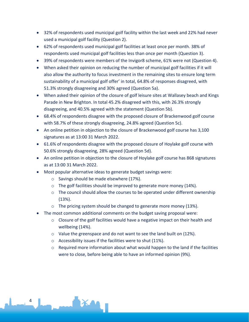- 32% of respondents used municipal golf facility within the last week and 22% had never used a municipal golf facility (Question 2).
- 62% of respondents used municipal golf facilities at least once per month. 38% of respondents used municipal golf facilities less than once per month (Question 3).
- 39% of respondents were members of the Invigor8 scheme, 61% were not (Question 4).
- When asked their opinion on reducing the number of municipal golf facilities if it will also allow the authority to focus investment in the remaining sites to ensure long term sustainability of a municipal golf offer' in total, 64.8% of responses disagreed, with 51.3% strongly disagreeing and 30% agreed (Question 5a).
- When asked their opinion of the closure of golf leisure sites at Wallasey beach and Kings Parade in New Brighton. In total 45.2% disagreed with this, with 26.3% strongly disagreeing, and 40.5% agreed with the statement (Question 5b).
- 68.4% of respondents disagree with the proposed closure of Brackenwood golf course with 58.7% of these strongly disagreeing, 24.8% agreed (Question 5c).
- An online petition in objection to the closure of Brackenwood golf course has 3,100 signatures as at 13:00 31 March 2022.
- 61.6% of respondents disagree with the proposed closure of Hoylake golf course with 50.6% strongly disagreeing, 28% agreed (Question 5d).
- An online petition in objection to the closure of Hoylake golf course has 868 signatures as at 13:00 31 March 2022.
- Most popular alternative ideas to generate budget savings were:
	- o Savings should be made elsewhere (17%).
	- o The golf facilities should be improved to generate more money (14%).
	- o The council should allow the courses to be operated under different ownership (13%).
	- o The pricing system should be changed to generate more money (13%).
- The most common additional comments on the budget saving proposal were:
	- o Closure of the golf facilities would have a negative impact on their health and wellbeing (14%).
	- $\circ$  Value the greenspace and do not want to see the land built on (12%).
	- o Accessibility issues if the facilities were to shut (11%).

4

<span id="page-3-0"></span> $\circ$  Required more information about what would happen to the land if the facilities were to close, before being able to have an informed opinion (9%).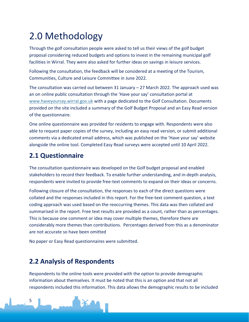# 2.0 Methodology

Through the golf consultation people were asked to tell us their views of the golf budget proposal considering reduced budgets and options to invest in the remaining municipal golf facilities in Wirral. They were also asked for further ideas on savings in leisure services.

Following the consultation, the feedback will be considered at a meeting of the Tourism, Communities, Culture and Leisure Committee in June 2022.

The consultation was carried out between 31 January – 27 March 2022. The approach used was an on online public consultation through the 'Have your say' consultation portal at [www.haveyoursay.wirral.gov.uk](https://wirralcouncil.sharepoint.com/sites/Team-0401/Shared%20Documents/General/2020%20EngagementHQ/Budget/www.haveyoursay.wirral.gov.uk) with a page dedicated to the Golf Consultation. Documents provided on the site included a summary of the Golf Budget Proposal and an Easy Read version of the questionnaire.

One online questionnaire was provided for residents to engage with. Respondents were also able to request paper copies of the survey, including an easy read version, or submit additional comments via a dedicated email address, which was published on the 'Have your say' website alongside the online tool. Completed Easy Read surveys were accepted until 10 April 2022.

# <span id="page-4-0"></span>**2.1 Questionnaire**

The consultation questionnaire was developed on the Golf budget proposal and enabled stakeholders to record their feedback. To enable further understanding, and in-depth analysis, respondents were invited to provide free-text comments to expand on their ideas or concerns.

Following closure of the consultation, the responses to each of the direct questions were collated and the responses included in this report. For the free-text comment question, a text coding approach was used based on the reoccurring themes. This data was then collated and summarised in the report. Free text results are provided as a count, rather than as percentages. This is because one comment or idea may cover multiple themes, therefore there are considerably more themes than contributions. Percentages derived from this as a denominator are not accurate so have been omitted

No paper or Easy Read questionnaires were submitted*.*

## <span id="page-4-1"></span>**2.2 Analysis of Respondents**

Respondents to the online tools were provided with the option to provide demographic information about themselves. It must be noted that this is an option and that not all respondents included this information. This data allows the demographic results to be included

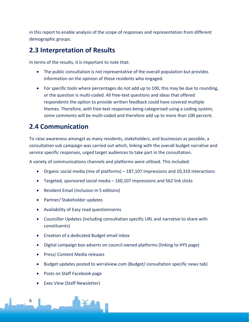in this report to enable analysis of the scope of responses and representation from different demographic groups.

### <span id="page-5-0"></span>**2.3 Interpretation of Results**

In terms of the results, it is important to note that:

- The public consultation is not representative of the overall population but provides information on the opinion of those residents who engaged.
- For specific tools where percentages do not add up to 100, this may be due to rounding, or the question is multi-coded. All free-text questions and ideas that offered respondents the option to provide written feedback could have covered multiple themes. Therefore, with free-text responses being categorised using a coding system, some comments will be multi-coded and therefore add up to more than 100 percent.

## <span id="page-5-1"></span>**2.4 Communication**

To raise awareness amongst as many residents, stakeholders, and businesses as possible, a consultation sub campaign was carried out which, linking with the overall budget narrative and service specific responses, urged target audiences to take part in the consultation.

A variety of communications channels and platforms were utilised. This included:

- Organic social media (mix of platforms) 187,107 impressions and 10,319 interactions
- Targeted, sponsored social media 160,107 impressions and 562 link clicks
- Resident Email (inclusion in 5 editions)
- Partner/ Stakeholder updates
- Availability of Easy read questionnaires
- Councillor Updates (including consultation specific URL and narrative to share with constituents)
- Creation of a dedicated Budget email inbox
- Digital campaign box adverts on council owned platforms (linking to HYS page)
- Press/ Content Media releases
- Budget updates posted to wirralview.com (Budget/ consultation specific news tab)
- Posts on Staff Facebook page
- Exec View (Staff Newsletter)

6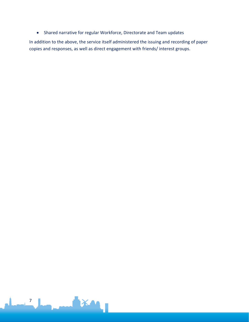• Shared narrative for regular Workforce, Directorate and Team updates

In addition to the above, the service itself administered the issuing and recording of paper copies and responses, as well as direct engagement with friends/ interest groups.

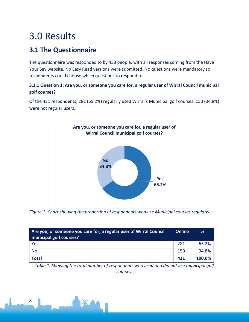# <span id="page-7-0"></span>3.0 Results

# <span id="page-7-1"></span>**3.1 The Questionnaire**

The questionnaire was responded to by 433 people, with all responses coming from the Have Your Say website. No Easy Read versions were submitted. No questions were mandatory so respondents could choose which questions to respond to.

#### **3.1.1 Question 1: Are you, or someone you care for, a regular user of Wirral Council municipal golf courses?**

Of the 431 respondents, 281 (65.2%) regularly used Wirral's Municipal golf courses. 150 (34.8%) were not regular users.



*Figure 1: Chart showing the proportion of respondents who use Municipal courses regularly.*

| Are you, or someone you care for, a regular user of Wirral Council<br>municipal golf courses? | Online | ℅      |
|-----------------------------------------------------------------------------------------------|--------|--------|
| Yes                                                                                           | 281    | 65.2%  |
| <b>No</b>                                                                                     | 150    | 34.8%  |
| <b>Total</b>                                                                                  | 431    | 100.0% |

*Table 1: Showing the total number of respondents who used and did not use municipal golf courses.*

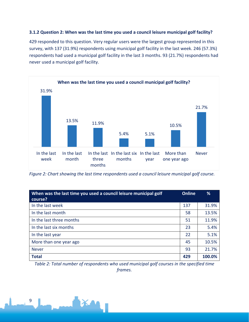#### **3.1.2 Question 2: When was the last time you used a council leisure municipal golf facility?**

429 responded to this question. Very regular users were the largest group represented in this survey, with 137 (31.9%) respondents using municipal golf facility in the last week. 246 (57.3%) respondents had used a municipal golf facility in the last 3 months. 93 (21.7%) respondents had never used a municipal golf facility.



*Figure 2: Chart showing the last time respondents used a council leisure municipal golf course.*

| When was the last time you used a council leisure municipal golf<br>course? | Online | %      |
|-----------------------------------------------------------------------------|--------|--------|
| In the last week                                                            | 137    | 31.9%  |
| In the last month                                                           | 58     | 13.5%  |
| In the last three months                                                    | 51     | 11.9%  |
| In the last six months                                                      | 23     | 5.4%   |
| In the last year                                                            | 22     | 5.1%   |
| More than one year ago                                                      | 45     | 10.5%  |
| <b>Never</b>                                                                | 93     | 21.7%  |
| <b>Total</b>                                                                | 429    | 100.0% |

*Table 2: Total number of respondents who used municipal golf courses in the specified time frames.*

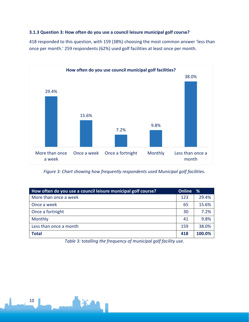#### **3.1.3 Question 3: How often do you use a council leisure municipal golf course?**

418 responded to this question, with 159 (38%) choosing the most common answer 'less than once per month.' 259 respondents (62%) used golf facilities at least once per month.



*Figure 3: Chart showing how frequently respondents used Municipal golf facilities.*

| How often do you use a council leisure municipal golf course? | <b>Online</b> | %      |
|---------------------------------------------------------------|---------------|--------|
| More than once a week                                         | 123           | 29.4%  |
| Once a week                                                   | 65            | 15.6%  |
| Once a fortnight                                              | 30            | 7.2%   |
| Monthly                                                       | 41            | 9.8%   |
| Less than once a month                                        | 159           | 38.0%  |
| <b>Total</b>                                                  | 418           | 100.0% |

*Table 3: totalling the frequency of municipal golf facility use.*

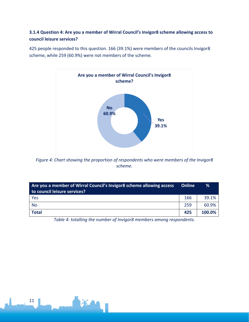#### **3.1.4 Question 4: Are you a member of Wirral Council's Invigor8 scheme allowing access to council leisure services?**

425 people responded to this question. 166 (39.1%) were members of the councils Invigor8 scheme, while 259 (60.9%) were not members of the scheme.



*Figure 4: Chart showing the proportion of respondents who were members of the Invigor8 scheme.*

| Are you a member of Wirral Council's Invigor8 scheme allowing access<br>to council leisure services? |     | %      |
|------------------------------------------------------------------------------------------------------|-----|--------|
| Yes                                                                                                  | 166 | 39.1%  |
| No                                                                                                   | 259 | 60.9%  |
| <b>Total</b>                                                                                         | 425 | 100.0% |

*Table 4: totalling the number of Invigor8 members among respondents.*

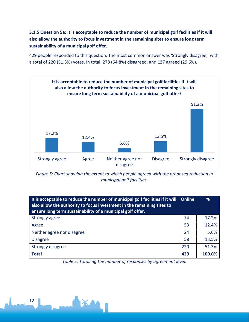**3.1.5 Question 5a: It is acceptable to reduce the number of municipal golf facilities if it will also allow the authority to focus investment in the remaining sites to ensure long term sustainability of a municipal golf offer.**

429 people responded to this question. The most common answer was 'Strongly disagree,' with a total of 220 (51.3%) votes. In total, 278 (64.8%) disagreed, and 127 agreed (29.6%).



*Figure 5: Chart showing the extent to which people agreed with the proposed reduction in municipal golf facilities.*

| It is acceptable to reduce the number of municipal golf facilities if it will Online<br>also allow the authority to focus investment in the remaining sites to<br>ensure long term sustainability of a municipal golf offer. |     | ℅      |
|------------------------------------------------------------------------------------------------------------------------------------------------------------------------------------------------------------------------------|-----|--------|
| Strongly agree                                                                                                                                                                                                               | 74  | 17.2%  |
| Agree                                                                                                                                                                                                                        | 53  | 12.4%  |
| Neither agree nor disagree                                                                                                                                                                                                   | 24  | 5.6%   |
| <b>Disagree</b>                                                                                                                                                                                                              | 58  | 13.5%  |
| <b>Strongly disagree</b>                                                                                                                                                                                                     | 220 | 51.3%  |
| <b>Total</b>                                                                                                                                                                                                                 | 429 | 100.0% |

*Table 5: Totalling the number of responses by agreement level.*

12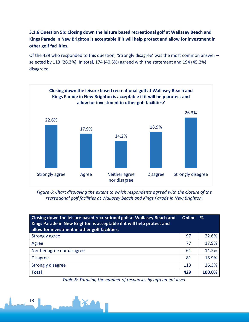**3.1.6 Question 5b: Closing down the leisure based recreational golf at Wallasey Beach and Kings Parade in New Brighton is acceptable if it will help protect and allow for investment in other golf facilities.**

Of the 429 who responded to this question, 'Strongly disagree' was the most common answer – selected by 113 (26.3%). In total, 174 (40.5%) agreed with the statement and 194 (45.2%) disagreed.



*Figure 6: Chart displaying the extent to which respondents agreed with the closure of the recreational golf facilities at Wallasey beach and Kings Parade in New Brighton.*

| Closing down the leisure based recreational golf at Wallasey Beach and<br>Kings Parade in New Brighton is acceptable if it will help protect and<br>allow for investment in other golf facilities. | Online % |        |
|----------------------------------------------------------------------------------------------------------------------------------------------------------------------------------------------------|----------|--------|
| Strongly agree                                                                                                                                                                                     | 97       | 22.6%  |
| Agree                                                                                                                                                                                              | 77       | 17.9%  |
| Neither agree nor disagree                                                                                                                                                                         | 61       | 14.2%  |
| <b>Disagree</b>                                                                                                                                                                                    | 81       | 18.9%  |
| Strongly disagree                                                                                                                                                                                  | 113      | 26.3%  |
| <b>Total</b>                                                                                                                                                                                       | 429      | 100.0% |

*Table 6: Totalling the number of responses by agreement level.*

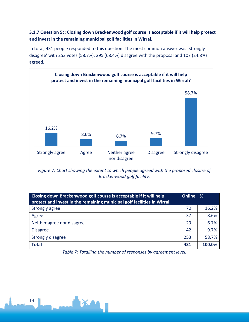#### **3.1.7 Question 5c: Closing down Brackenwood golf course is acceptable if it will help protect and invest in the remaining municipal golf facilities in Wirral.**

In total, 431 people responded to this question. The most common answer was 'Strongly disagree' with 253 votes (58.7%). 295 (68.4%) disagree with the proposal and 107 (24.8%) agreed.



*Figure 7: Chart showing the extent to which people agreed with the proposed closure of Brackenwood golf facility.*

| Closing down Brackenwood golf course is acceptable if it will help<br>protect and invest in the remaining municipal golf facilities in Wirral. |     | - %    |
|------------------------------------------------------------------------------------------------------------------------------------------------|-----|--------|
| Strongly agree                                                                                                                                 | 70  | 16.2%  |
| Agree                                                                                                                                          | 37  | 8.6%   |
| Neither agree nor disagree                                                                                                                     | 29  | 6.7%   |
| <b>Disagree</b>                                                                                                                                | 42  | 9.7%   |
| Strongly disagree                                                                                                                              | 253 | 58.7%  |
| <b>Total</b>                                                                                                                                   | 431 | 100.0% |

*Table 7: Totalling the number of responses by agreement level.*

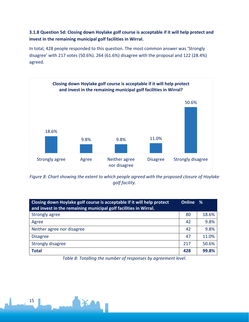#### **3.1.8 Question 5d: Closing down Hoylake golf course is acceptable if it will help protect and invest in the remaining municipal golf facilities in Wirral.**

In total, 428 people responded to this question. The most common answer was 'Strongly disagree' with 217 votes (50.6%). 264 (61.6%) disagree with the proposal and 122 (28.4%) agreed.



*Figure 8: Chart showing the extent to which people agreed with the proposed closure of Hoylake golf facility.*

| Closing down Hoylake golf course is acceptable if it will help protect<br>and invest in the remaining municipal golf facilities in Wirral. |     | - %   |
|--------------------------------------------------------------------------------------------------------------------------------------------|-----|-------|
| Strongly agree                                                                                                                             | 80  | 18.6% |
| Agree                                                                                                                                      | 42  | 9.8%  |
| Neither agree nor disagree                                                                                                                 | 42  | 9.8%  |
| <b>Disagree</b>                                                                                                                            | 47  | 11.0% |
| Strongly disagree                                                                                                                          | 217 | 50.6% |
| <b>Total</b>                                                                                                                               | 428 | 99.8% |

*Table 8: Totalling the number of responses by agreement level.*

15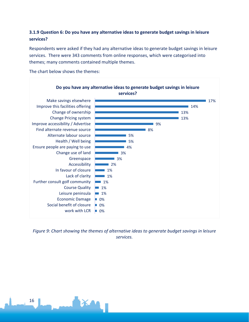#### **3.1.9 Question 6: Do you have any alternative ideas to generate budget savings in leisure services?**

Respondents were asked if they had any alternative ideas to generate budget savings in leisure services. There were 343 comments from online responses, which were categorised into themes; many comments contained multiple themes.

The chart below shows the themes:



*Figure 9: Chart showing the themes of alternative ideas to generate budget savings in leisure services.*

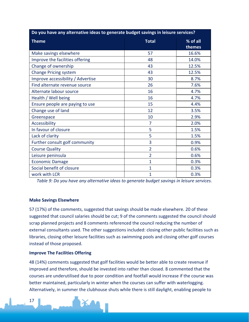| Do you have any alternative ideas to generate budget savings in leisure services? |                |                    |  |
|-----------------------------------------------------------------------------------|----------------|--------------------|--|
| <b>Theme</b>                                                                      | <b>Total</b>   | % of all<br>themes |  |
| Make savings elsewhere                                                            | 57             | 16.6%              |  |
| Improve the facilities offering                                                   | 48             | 14.0%              |  |
| Change of ownership                                                               | 43             | 12.5%              |  |
| <b>Change Pricing system</b>                                                      | 43             | 12.5%              |  |
| Improve accessibility / Advertise                                                 | 30             | 8.7%               |  |
| Find alternate revenue source                                                     | 26             | 7.6%               |  |
| Alternate labour source                                                           | 16             | 4.7%               |  |
| Health / Well being                                                               | 16             | 4.7%               |  |
| Ensure people are paying to use                                                   | 15             | 4.4%               |  |
| Change use of land                                                                | 12             | 3.5%               |  |
| Greenspace                                                                        | 10             | 2.9%               |  |
| Accessibility                                                                     | 7              | 2.0%               |  |
| In favour of closure                                                              | 5              | 1.5%               |  |
| Lack of clarity                                                                   | 5              | 1.5%               |  |
| Further consult golf community                                                    | 3              | 0.9%               |  |
| <b>Course Quality</b>                                                             | $\overline{2}$ | 0.6%               |  |
| Leisure peninsula                                                                 | $\overline{2}$ | 0.6%               |  |
| <b>Economic Damage</b>                                                            | $\mathbf{1}$   | 0.3%               |  |
| Social benefit of closure                                                         | $\mathbf{1}$   | 0.3%               |  |
| work with LCR                                                                     | $\mathbf{1}$   | 0.3%               |  |

*Table 9: Do you have any alternative ideas to generate budget savings in leisure services.*

#### **Make Savings Elsewhere**

57 (17%) of the comments, suggested that savings should be made elsewhere. 20 of these suggested that council salaries should be cut; 9 of the comments suggested the council should scrap planned projects and 8 comments referenced the council reducing the number of external consultants used. The other suggestions included: closing other public facilities such as libraries, closing other leisure facilities such as swimming pools and closing other golf courses instead of those proposed.

#### **Improve The Facilities Offering**

48 (14%) comments suggested that golf facilities would be better able to create revenue if improved and therefore, should be invested into rather than closed. 8 commented that the courses are underutilised due to poor condition and footfall would increase if the course was better maintained, particularly in winter when the courses can suffer with waterlogging. Alternatively, in summer the clubhouse shuts while there is still daylight, enabling people to

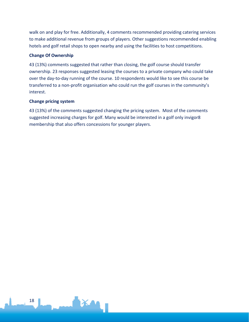walk on and play for free. Additionally, 4 comments recommended providing catering services to make additional revenue from groups of players. Other suggestions recommended enabling hotels and golf retail shops to open nearby and using the facilities to host competitions.

#### **Change Of Ownership**

43 (13%) comments suggested that rather than closing, the golf course should transfer ownership. 23 responses suggested leasing the courses to a private company who could take over the day-to-day running of the course. 10 respondents would like to see this course be transferred to a non-profit organisation who could run the golf courses in the community's interest.

#### **Change pricing system**

43 (13%) of the comments suggested changing the pricing system. Most of the comments suggested increasing charges for golf. Many would be interested in a golf only invigor8 membership that also offers concessions for younger players.

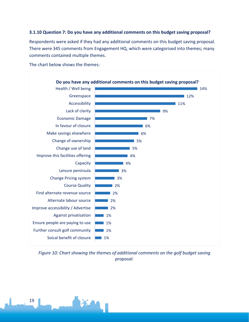#### **3.1.10 Question 7: Do you have any additional comments on this budget saving proposal?**

Respondents were asked if they had any additional comments on this budget saving proposal. There were 345 comments from Engagement HQ, which were categorised into themes; many comments contained multiple themes.

The chart below shows the themes:



*Figure 10: Chart showing the themes of additional comments on the golf budget saving proposal.*

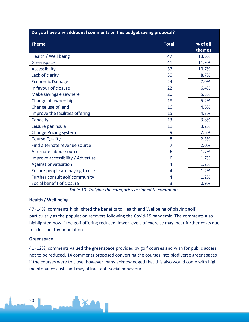| Do you have any additional comments on this budget saving proposal? |              |                    |
|---------------------------------------------------------------------|--------------|--------------------|
| <b>Theme</b>                                                        | <b>Total</b> | % of all<br>themes |
| Health / Well being                                                 | 47           | 13.6%              |
| Greenspace                                                          | 41           | 11.9%              |
| Accessibility                                                       | 37           | 10.7%              |
| Lack of clarity                                                     | 30           | 8.7%               |
| <b>Economic Damage</b>                                              | 24           | 7.0%               |
| In favour of closure                                                | 22           | 6.4%               |
| Make savings elsewhere                                              | 20           | 5.8%               |
| Change of ownership                                                 | 18           | 5.2%               |
| Change use of land                                                  | 16           | 4.6%               |
| Improve the facilities offering                                     | 15           | 4.3%               |
| Capacity                                                            | 13           | 3.8%               |
| Leisure peninsula                                                   | 11           | 3.2%               |
| <b>Change Pricing system</b>                                        | 9            | 2.6%               |
| <b>Course Quality</b>                                               | 8            | 2.3%               |
| Find alternate revenue source                                       | 7            | 2.0%               |
| Alternate labour source                                             | 6            | 1.7%               |
| Improve accessibility / Advertise                                   | 6            | 1.7%               |
| <b>Against privatisation</b>                                        | 4            | 1.2%               |
| Ensure people are paying to use                                     | 4            | 1.2%               |
| Further consult golf community                                      | 4            | 1.2%               |
| Social benefit of closure                                           | 3            | 0.9%               |

*Table 10: Tallying the categories assigned to comments.*

#### **Health / Well being**

47 (14%) comments highlighted the benefits to Health and Wellbeing of playing golf, particularly as the population recovers following the Covid-19 pandemic. The comments also highlighted how if the golf offering reduced, lower levels of exercise may incur further costs due to a less heathy population.

#### **Greenspace**

20

41 (12%) comments valued the greenspace provided by golf courses and wish for public access not to be reduced. 14 comments proposed converting the courses into biodiverse greenspaces if the courses were to close, however many acknowledged that this also would come with high maintenance costs and may attract anti-social behaviour.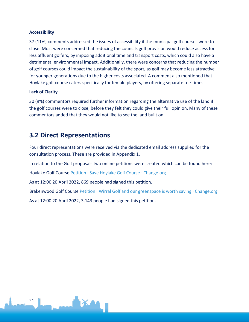#### **Accessibility**

37 (11%) comments addressed the issues of accessibility if the municipal golf courses were to close. Most were concerned that reducing the councils golf provision would reduce access for less affluent golfers, by imposing additional time and transport costs, which could also have a detrimental environmental impact. Additionally, there were concerns that reducing the number of golf courses could impact the sustainability of the sport, as golf may become less attractive for younger generations due to the higher costs associated. A comment also mentioned that Hoylake golf course caters specifically for female players, by offering separate tee-times.

#### **Lack of Clarity**

30 (9%) commentors required further information regarding the alternative use of the land if the golf courses were to close, before they felt they could give their full opinion. Many of these commentors added that they would not like to see the land built on.

### <span id="page-20-0"></span>**3.2 Direct Representations**

Four direct representations were received via the dedicated email address supplied for the consultation process. These are provided in Appendix 1.

In relation to the Golf proposals two online petitions were created which can be found here:

Hoylake Golf Course [Petition · Save Hoylake Golf Course · Change.org](https://www.change.org/p/save-hoylake-golf-course)

As at 12:00 20 April 2022, 869 people had signed this petition.

Brakenwood Golf Course [Petition · Wirral Golf and our greenspace is worth saving · Change.org](https://www.change.org/p/janette-williamson-wirral-council-leader-wirral-golf-and-our-greenspace-is-worth-saving) As at 12:00 20 April 2022, 3,143 people had signed this petition.

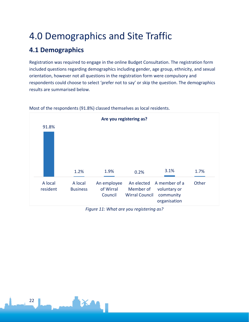# <span id="page-21-0"></span>4.0 Demographics and Site Traffic

# <span id="page-21-1"></span>**4.1 Demographics**

Registration was required to engage in the online Budget Consultation. The registration form included questions regarding demographics including gender, age group, ethnicity, and sexual orientation, however not all questions in the registration form were compulsory and respondents could choose to select 'prefer not to say' or skip the question. The demographics results are summarised below.



Most of the respondents (91.8%) classed themselves as local residents.

*Figure 11: What are you registering as?*

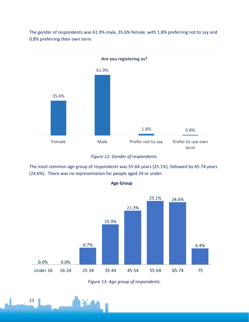The gender of respondents was 61.9% male, 35.6% female, with 1.8% preferring not to say and 0.8% preferring their own term.



*Figure 12: Gender of respondents.*

The most common age group of respondents was 55-64 years (25.1%), followed by 65-74 years (24.6%). There was no representation for people aged 24 or under.



*Figure 13: Age group of respondents.*

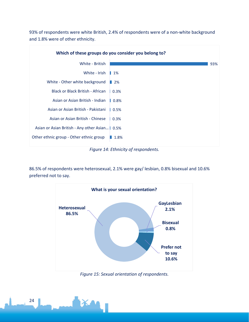93% of respondents were white British, 2.4% of respondents were of a non-white background and 1.8% were of other ethnicity.



*Figure 14: Ethnicity of respondents.*

86.5% of respondents were heterosexual, 2.1% were gay/ lesbian, 0.8% bisexual and 10.6% preferred not to say.



*Figure 15: Sexual orientation of respondents.*

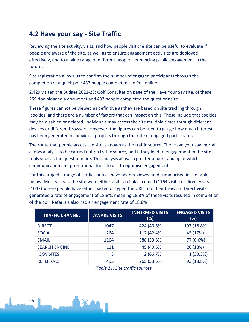### <span id="page-24-0"></span>**4.2 Have your say - Site Traffic**

Reviewing the site activity, visits, and how people visit the site can be useful to evaluate if people are aware of the site, as well as to ensure engagement activities are deployed effectively, and to a wide range of different people – enhancing public engagement in the future.

Site registration allows us to confirm the number of engaged participants through the completion of a quick poll; 433 people completed the Poll online.

2,429 visited the Budget 2022-23: Golf Consultation page of the Have Your Say site, of these 259 downloaded a document and 433 people completed the questionnaire.

These figures cannot be viewed as definitive as they are based on site tracking through 'cookies' and there are a number of factors that can impact on this. These include that cookies may be disabled or deleted, individuals may access the site multiple times through different devices or different browsers. However, the figures can be used to gauge how much interest has been generated in individual projects through the rate of engaged participants.

The route that people access the site is known as the traffic source. The 'Have your say' portal allows analysis to be carried out on traffic source, and if they lead to engagement in the site tools such as the questionnaire. This analysis allows a greater understanding of which communication and promotional tools to use to optimise engagement.

For this project a range of traffic sources have been reviewed and summarised in the table below. Most visits to the site were either visits via links in email (1164 visits) or direct visits (1047) where people have either pasted or typed the URL in to their browser. Direct visits generated a rate of engagement of 18.8%, meaning 18.8% of these visits resulted in completion of the poll. Referrals also had an engagement rate of 18.8%

| <b>TRAFFIC CHANNEL</b> | <b>AWARE VISITS</b> | <b>INFORMED VISITS</b><br>(%) | <b>ENGAGED VISITS</b><br>(%) |
|------------------------|---------------------|-------------------------------|------------------------------|
| <b>DIRECT</b>          | 1047                | 424 (40.5%)                   | 197 (18.8%)                  |
| <b>SOCIAL</b>          | 264                 | 112 (42.4%)                   | 45 (17%)                     |
| <b>EMAIL</b>           | 1164                | 388 (33.3%)                   | 77 (6.6%)                    |
| <b>SEARCH ENGINE</b>   | 111                 | 45 (40.5%)                    | 20 (18%)                     |
| <b>.GOV SITES</b>      | 3                   | 2(66.7%)                      | 1(33.3%)                     |
| <b>REFERRALS</b>       | 495                 | 265 (53.5%)                   | 93 (18.8%)                   |

*Table 11: Site traffic sources.*

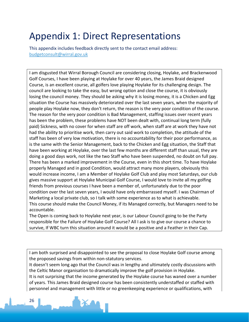# <span id="page-25-0"></span>Appendix 1: Direct Representations

This appendix includes feedback directly sent to the contact email address: [budgetconsult@wirral.gov.uk](mailto:budgetconsult@wirral.gov.uk)

I am disgusted that Wirral Borough Council are considering closing, Hoylake, and Brackenwood Golf Courses, I have been playing at Hoylake for over 40 years, the James Braid designed Course, is an excellent course, all golfers love playing Hoylake for its challenging design. The council are looking to take the easy, but wrong option and close the course, it is obviously losing the council money. They should be asking why it is losing money, it is a Chicken and Egg situation the Course has massively deteriorated over the last seven years, when the majority of people play Hoylake now, they don't return, the reason is the very poor condition of the course. The reason for the very poor condition is Bad Management, staffing issues over recent years has been the problem, these problems have NOT been dealt with, continual long term (fully paid) Sickness, with no cover for when staff are off work, when staff are at work they have not had the ability to prioritise work, then carry out said work to completion, the attitude of the staff has been of very low motivation, there is no accountability for their poor performance, as is the same with the Senior Management, back to the Chicken and Egg situation, the Staff that have been working at Hoylake, over the last few months are different staff than usual, they are doing a good days work, not like the two Staff who have been suspended, no doubt on full pay. There has been a marked improvement in the Course, even in this short time. To have Hoylake properly Managed and in good Condition, would attract many more players, obviously this would increase income, I am a Member of Hoylake Golf Club and play most Saturdays, our club gives massive support at Hoylake Municipal Golf Course, I would love to invite all my golfing friends from previous courses I have been a member of, unfortunately due to the poor condition over the last seven years, I would have only embarrassed myself. I was Chairman of Marketing a local private club, so I talk with some experience as to what is achievable. This course should make the Council Money, if its Managed correctly, but Managers need to be accountable.

The Open is coming back to Hoylake next year, is our Labour Council going to be the Party responsible for the Failure of Hoylake Golf Course? All I ask is to give our course a chance to survive, If WBC turn this situation around it would be a positive and a Feather in their Cap.

I am both surprised and disappointed to see the proposal to close Hoylake Golf course among the proposed savings from within non-statutory services.

It doesn't seem long ago that the Council was in lengthy and ultimately costly discussions with the Celtic Manor organisation to dramatically improve the golf provision in Hoylake.

It is not surprising that the income generated by the Hoylake course has waned over a number of years. This James Braid designed course has been consistently understaffed or staffed with personnel and management with little or no greenkeeping experience or qualifications, with

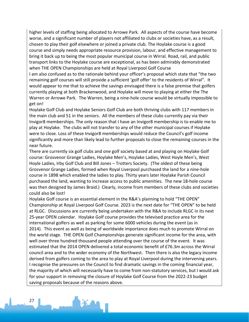higher levels of staffing being allocated to Arrowe Park. All aspects of the course have become worse, and a significant number of players not affiliated to clubs or societies have, as a result, chosen to play their golf elsewhere or joined a private club. The Hoylake course is a good course and simply needs appropriate resource provision, labour, and effective management to bring it back up to being the most popular municipal course in Wirral. Road, rail, and public transport links to the Hoylake course are exceptional, as has been admirably demonstrated when THE OPEN Championships are held at Royal Liverpool Golf Course

I am also confused as to the rationale behind your officer's proposal which state that "the two remaining golf courses will still provide a sufficient 'golf offer' to the residents of Wirral". It would appear to me that to achieve the savings envisaged there is a false premise that golfers currently playing at both Brackenwood, and Hoylake will move to playing at either the The Warren or Arrowe Park. The Warren, being a nine-hole course would be virtually impossible to get on!

Hoylake Golf Club and Hoylake Seniors Golf Club are both thriving clubs with 117 members in the main club and 51 in the seniors. All the members of these clubs currently pay via their Invigor8 memberships. The only reason that I have an Invigor8 membership is to enable me to play at Hoylake. The clubs will not transfer to any of the other municipal courses if Hoylake were to close. Loss of these Invigor8 memberships would reduce the Council's golf income significantly and more than likely lead to further proposals to close the remaining courses in the near future.

There are currently six golf clubs and one golf society based at and playing on Hoylake Golf course: Grosvenor Grange Ladies, Hoylake Men's, Hoylake Ladies, West Hoyle Men's, West Hoyle Ladies, Irby Golf Club and Bill Jones – Trotters Society. (The oldest of these being Grosvenor Grange Ladies, formed when Royal Liverpool purchased the land for a nine-hole course in 1898 which enabled the ladies to play. Thirty years later Hoylake Parish Council purchased the land, wanting to increase access to public amenities. The new 18-hole course was then designed by James Braid.) Clearly, income from members of these clubs and societies could also be lost!

Hoylake Golf course is an essential element in the R&A's planning to hold "THE OPEN" Championship at Royal Liverpool Golf Course. 2023 is the next date for "THE OPEN" to be held at RLGC. Discussions are currently being undertaken with the R&A to include RLGC in its next 25-year OPEN calendar. Hoylake Golf course provides the televised practice area for the international golfers as well as parking for some 6000 vehicles during the event (as in 2014). This event as well as being of worldwide importance does much to promote Wirral on the world stage. THE OPEN Golf Championships generate significant income for the area, with well over three hundred thousand people attending over the course of the event. It was estimated that the 2014 OPEN delivered a total economic benefit of £76.3m across the Wirral council area and to the wider economy of the Northwest. Then there is also the legacy income derived from golfers coming to the area to play at Royal Liverpool during the intervening years. I recognise the pressures on the Council to find dramatic savings in the coming financial year, the majority of which will necessarily have to come from non-statutory services, but I would ask for your support in removing the closure of Hoylake Golf Course from the 2022-23 budget saving proposals because of the reasons above.

27